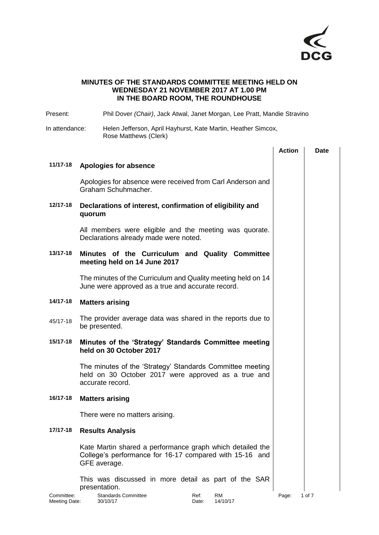

## **MINUTES OF THE STANDARDS COMMITTEE MEETING HELD ON WEDNESDAY 21 NOVEMBER 2017 AT 1.00 PM IN THE BOARD ROOM, THE ROUNDHOUSE**

| Phil Dover (Chair), Jack Atwal, Janet Morgan, Lee Pratt, Mandie Stravino<br>Present:                     |                                                                                                                                      |               |      |
|----------------------------------------------------------------------------------------------------------|--------------------------------------------------------------------------------------------------------------------------------------|---------------|------|
| In attendance:<br>Helen Jefferson, April Hayhurst, Kate Martin, Heather Simcox,<br>Rose Matthews (Clerk) |                                                                                                                                      |               |      |
|                                                                                                          |                                                                                                                                      | <b>Action</b> | Date |
| 11/17-18                                                                                                 | Apologies for absence                                                                                                                |               |      |
|                                                                                                          | Apologies for absence were received from Carl Anderson and<br>Graham Schuhmacher.                                                    |               |      |
| 12/17-18                                                                                                 | Declarations of interest, confirmation of eligibility and<br>quorum                                                                  |               |      |
|                                                                                                          | All members were eligible and the meeting was quorate.<br>Declarations already made were noted.                                      |               |      |
| 13/17-18                                                                                                 | Minutes of the Curriculum and Quality Committee<br>meeting held on 14 June 2017                                                      |               |      |
|                                                                                                          | The minutes of the Curriculum and Quality meeting held on 14<br>June were approved as a true and accurate record.                    |               |      |
| 14/17-18                                                                                                 | <b>Matters arising</b>                                                                                                               |               |      |
| 45/17-18                                                                                                 | The provider average data was shared in the reports due to<br>be presented.                                                          |               |      |
| 15/17-18                                                                                                 | Minutes of the 'Strategy' Standards Committee meeting<br>held on 30 October 2017                                                     |               |      |
|                                                                                                          | The minutes of the 'Strategy' Standards Committee meeting<br>held on 30 October 2017 were approved as a true and<br>accurate record. |               |      |
| 16/17-18                                                                                                 | <b>Matters arising</b>                                                                                                               |               |      |
|                                                                                                          | There were no matters arising.                                                                                                       |               |      |
| 17/17-18                                                                                                 | <b>Results Analysis</b>                                                                                                              |               |      |
|                                                                                                          | Kate Martin shared a performance graph which detailed the<br>College's performance for 16-17 compared with 15-16 and<br>GFE average. |               |      |
|                                                                                                          | This was discussed in more detail as part of the SAR<br>presentation.                                                                |               |      |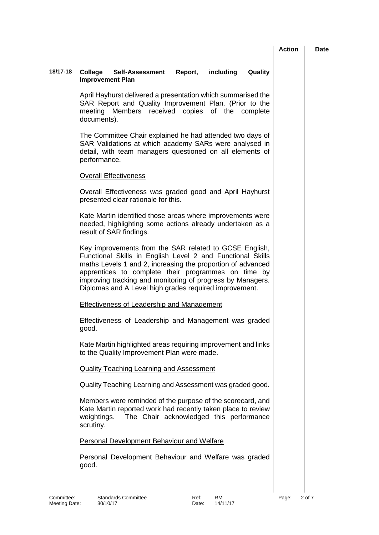### **18/17-18 College Self-Assessment Report, including Quality Improvement Plan**

April Hayhurst delivered a presentation which summarised the SAR Report and Quality Improvement Plan. (Prior to the meeting Members received copies of the complete documents).

The Committee Chair explained he had attended two days of SAR Validations at which academy SARs were analysed in detail, with team managers questioned on all elements of performance.

### Overall Effectiveness

Overall Effectiveness was graded good and April Hayhurst presented clear rationale for this.

Kate Martin identified those areas where improvements were needed, highlighting some actions already undertaken as a result of SAR findings.

Key improvements from the SAR related to GCSE English, Functional Skills in English Level 2 and Functional Skills maths Levels 1 and 2, increasing the proportion of advanced apprentices to complete their programmes on time by improving tracking and monitoring of progress by Managers. Diplomas and A Level high grades required improvement.

#### Effectiveness of Leadership and Management

Effectiveness of Leadership and Management was graded good.

Kate Martin highlighted areas requiring improvement and links to the Quality Improvement Plan were made.

# Quality Teaching Learning and Assessment

Quality Teaching Learning and Assessment was graded good.

Members were reminded of the purpose of the scorecard, and Kate Martin reported work had recently taken place to review weightings. The Chair acknowledged this performance scrutiny.

# Personal Development Behaviour and Welfare

Personal Development Behaviour and Welfare was graded good.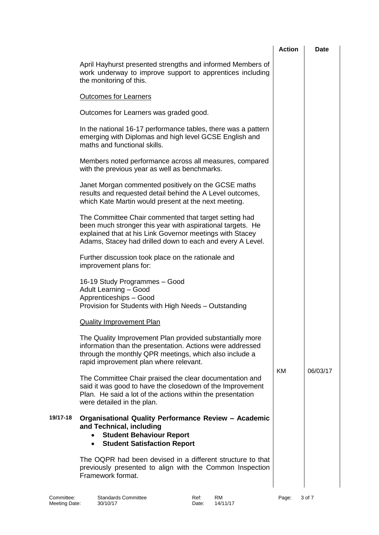|          |                                                                                                                                                                                                                                              | <b>Action</b> | Date     |
|----------|----------------------------------------------------------------------------------------------------------------------------------------------------------------------------------------------------------------------------------------------|---------------|----------|
|          | April Hayhurst presented strengths and informed Members of<br>work underway to improve support to apprentices including<br>the monitoring of this.                                                                                           |               |          |
|          | <b>Outcomes for Learners</b>                                                                                                                                                                                                                 |               |          |
|          | Outcomes for Learners was graded good.                                                                                                                                                                                                       |               |          |
|          | In the national 16-17 performance tables, there was a pattern<br>emerging with Diplomas and high level GCSE English and<br>maths and functional skills.                                                                                      |               |          |
|          | Members noted performance across all measures, compared<br>with the previous year as well as benchmarks.                                                                                                                                     |               |          |
|          | Janet Morgan commented positively on the GCSE maths<br>results and requested detail behind the A Level outcomes,<br>which Kate Martin would present at the next meeting.                                                                     |               |          |
|          | The Committee Chair commented that target setting had<br>been much stronger this year with aspirational targets. He<br>explained that at his Link Governor meetings with Stacey<br>Adams, Stacey had drilled down to each and every A Level. |               |          |
|          | Further discussion took place on the rationale and<br>improvement plans for:                                                                                                                                                                 |               |          |
|          | 16-19 Study Programmes - Good<br>Adult Learning - Good<br>Apprenticeships - Good<br>Provision for Students with High Needs - Outstanding                                                                                                     |               |          |
|          | <b>Quality Improvement Plan</b>                                                                                                                                                                                                              |               |          |
|          | The Quality Improvement Plan provided substantially more<br>information than the presentation. Actions were addressed<br>through the monthly QPR meetings, which also include a<br>rapid improvement plan where relevant.                    | KM            |          |
|          | The Committee Chair praised the clear documentation and<br>said it was good to have the closedown of the Improvement<br>Plan. He said a lot of the actions within the presentation<br>were detailed in the plan.                             |               | 06/03/17 |
| 19/17-18 | Organisational Quality Performance Review - Academic<br>and Technical, including<br><b>Student Behaviour Report</b><br><b>Student Satisfaction Report</b>                                                                                    |               |          |
|          | The OQPR had been devised in a different structure to that<br>previously presented to align with the Common Inspection<br>Framework format.                                                                                                  |               |          |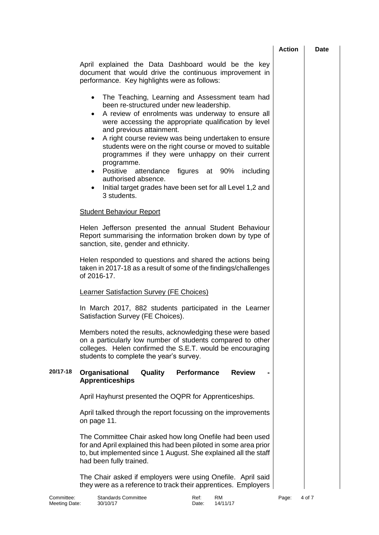|          |                                                                                                                                                                                                                                                                                                                                                                                                                                                                                                                                                                                                                         | <b>Action</b> | <b>Date</b> |
|----------|-------------------------------------------------------------------------------------------------------------------------------------------------------------------------------------------------------------------------------------------------------------------------------------------------------------------------------------------------------------------------------------------------------------------------------------------------------------------------------------------------------------------------------------------------------------------------------------------------------------------------|---------------|-------------|
|          | April explained the Data Dashboard would be the key<br>document that would drive the continuous improvement in<br>performance. Key highlights were as follows:                                                                                                                                                                                                                                                                                                                                                                                                                                                          |               |             |
|          | The Teaching, Learning and Assessment team had<br>$\bullet$<br>been re-structured under new leadership.<br>A review of enrolments was underway to ensure all<br>$\bullet$<br>were accessing the appropriate qualification by level<br>and previous attainment.<br>A right course review was being undertaken to ensure<br>٠<br>students were on the right course or moved to suitable<br>programmes if they were unhappy on their current<br>programme.<br>Positive attendance figures at 90% including<br>$\bullet$<br>authorised absence.<br>Initial target grades have been set for all Level 1,2 and<br>3 students. |               |             |
|          | <b>Student Behaviour Report</b>                                                                                                                                                                                                                                                                                                                                                                                                                                                                                                                                                                                         |               |             |
|          | Helen Jefferson presented the annual Student Behaviour<br>Report summarising the information broken down by type of<br>sanction, site, gender and ethnicity.                                                                                                                                                                                                                                                                                                                                                                                                                                                            |               |             |
|          | Helen responded to questions and shared the actions being<br>taken in 2017-18 as a result of some of the findings/challenges<br>of 2016-17.                                                                                                                                                                                                                                                                                                                                                                                                                                                                             |               |             |
|          | <b>Learner Satisfaction Survey (FE Choices)</b>                                                                                                                                                                                                                                                                                                                                                                                                                                                                                                                                                                         |               |             |
|          | In March 2017, 882 students participated in the Learner<br>Satisfaction Survey (FE Choices).                                                                                                                                                                                                                                                                                                                                                                                                                                                                                                                            |               |             |
|          | Members noted the results, acknowledging these were based<br>on a particularly low number of students compared to other<br>colleges. Helen confirmed the S.E.T. would be encouraging<br>students to complete the year's survey.                                                                                                                                                                                                                                                                                                                                                                                         |               |             |
| 20/17-18 | Organisational<br>Quality<br><b>Performance</b><br><b>Review</b><br><b>Apprenticeships</b>                                                                                                                                                                                                                                                                                                                                                                                                                                                                                                                              |               |             |
|          | April Hayhurst presented the OQPR for Apprenticeships.                                                                                                                                                                                                                                                                                                                                                                                                                                                                                                                                                                  |               |             |
|          | April talked through the report focussing on the improvements<br>on page 11.                                                                                                                                                                                                                                                                                                                                                                                                                                                                                                                                            |               |             |
|          | The Committee Chair asked how long Onefile had been used<br>for and April explained this had been piloted in some area prior<br>to, but implemented since 1 August. She explained all the staff<br>had been fully trained.                                                                                                                                                                                                                                                                                                                                                                                              |               |             |
|          | The Chair asked if employers were using Onefile. April said<br>they were as a reference to track their apprentices. Employers                                                                                                                                                                                                                                                                                                                                                                                                                                                                                           |               |             |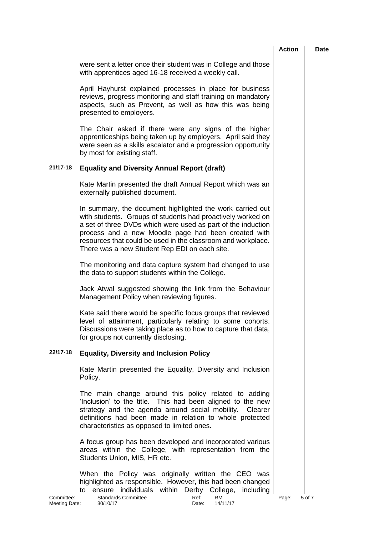|                                             |                                                                                                                                                                                                                                                                                                                                                                  | <b>Action</b> | <b>Date</b> |
|---------------------------------------------|------------------------------------------------------------------------------------------------------------------------------------------------------------------------------------------------------------------------------------------------------------------------------------------------------------------------------------------------------------------|---------------|-------------|
|                                             | were sent a letter once their student was in College and those<br>with apprentices aged 16-18 received a weekly call.                                                                                                                                                                                                                                            |               |             |
|                                             | April Hayhurst explained processes in place for business<br>reviews, progress monitoring and staff training on mandatory<br>aspects, such as Prevent, as well as how this was being<br>presented to employers.                                                                                                                                                   |               |             |
|                                             | The Chair asked if there were any signs of the higher<br>apprenticeships being taken up by employers. April said they<br>were seen as a skills escalator and a progression opportunity<br>by most for existing staff.                                                                                                                                            |               |             |
| 21/17-18                                    | <b>Equality and Diversity Annual Report (draft)</b>                                                                                                                                                                                                                                                                                                              |               |             |
|                                             | Kate Martin presented the draft Annual Report which was an<br>externally published document.                                                                                                                                                                                                                                                                     |               |             |
|                                             | In summary, the document highlighted the work carried out<br>with students. Groups of students had proactively worked on<br>a set of three DVDs which were used as part of the induction<br>process and a new Moodle page had been created with<br>resources that could be used in the classroom and workplace.<br>There was a new Student Rep EDI on each site. |               |             |
|                                             | The monitoring and data capture system had changed to use<br>the data to support students within the College.                                                                                                                                                                                                                                                    |               |             |
|                                             | Jack Atwal suggested showing the link from the Behaviour<br>Management Policy when reviewing figures.                                                                                                                                                                                                                                                            |               |             |
|                                             | Kate said there would be specific focus groups that reviewed<br>level of attainment, particularly relating to some cohorts.<br>Discussions were taking place as to how to capture that data,<br>for groups not currently disclosing.                                                                                                                             |               |             |
| 22/17-18                                    | <b>Equality, Diversity and Inclusion Policy</b>                                                                                                                                                                                                                                                                                                                  |               |             |
| Policy.                                     | Kate Martin presented the Equality, Diversity and Inclusion                                                                                                                                                                                                                                                                                                      |               |             |
|                                             | The main change around this policy related to adding<br>'Inclusion' to the title. This had been aligned to the new<br>strategy and the agenda around social mobility. Clearer<br>definitions had been made in relation to whole protected<br>characteristics as opposed to limited ones.                                                                         |               |             |
|                                             | A focus group has been developed and incorporated various<br>areas within the College, with representation from the<br>Students Union, MIS, HR etc.                                                                                                                                                                                                              |               |             |
| ensure<br>to<br>Committee:<br>Meeting Date: | When the Policy was originally written the CEO was<br>highlighted as responsible. However, this had been changed<br>individuals<br>within<br>Derby College,<br>including<br><b>Standards Committee</b><br>Ref:<br>RM<br>14/11/17<br>30/10/17<br>Date:                                                                                                            | Page:         | 5 of 7      |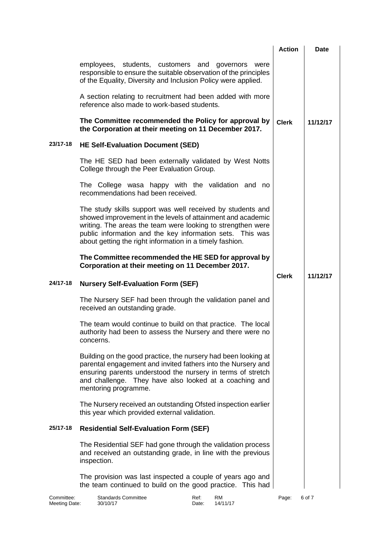|          |                                                                                                                                                                                                                                                                                                                   | <b>Action</b> | Date     |
|----------|-------------------------------------------------------------------------------------------------------------------------------------------------------------------------------------------------------------------------------------------------------------------------------------------------------------------|---------------|----------|
|          | employees, students, customers and governors<br>were<br>responsible to ensure the suitable observation of the principles<br>of the Equality, Diversity and Inclusion Policy were applied.                                                                                                                         |               |          |
|          | A section relating to recruitment had been added with more<br>reference also made to work-based students.                                                                                                                                                                                                         |               |          |
|          | The Committee recommended the Policy for approval by<br>the Corporation at their meeting on 11 December 2017.                                                                                                                                                                                                     | <b>Clerk</b>  | 11/12/17 |
| 23/17-18 | <b>HE Self-Evaluation Document (SED)</b>                                                                                                                                                                                                                                                                          |               |          |
|          | The HE SED had been externally validated by West Notts<br>College through the Peer Evaluation Group.                                                                                                                                                                                                              |               |          |
|          | The College wasa happy with the validation and no<br>recommendations had been received.                                                                                                                                                                                                                           |               |          |
|          | The study skills support was well received by students and<br>showed improvement in the levels of attainment and academic<br>writing. The areas the team were looking to strengthen were<br>public information and the key information sets. This was<br>about getting the right information in a timely fashion. |               |          |
|          | The Committee recommended the HE SED for approval by<br>Corporation at their meeting on 11 December 2017.                                                                                                                                                                                                         |               |          |
| 24/17-18 | <b>Nursery Self-Evaluation Form (SEF)</b>                                                                                                                                                                                                                                                                         | <b>Clerk</b>  | 11/12/17 |
|          | The Nursery SEF had been through the validation panel and<br>received an outstanding grade.                                                                                                                                                                                                                       |               |          |
|          | The team would continue to build on that practice. The local<br>authority had been to assess the Nursery and there were no<br>concerns.                                                                                                                                                                           |               |          |
|          | Building on the good practice, the nursery had been looking at<br>parental engagement and invited fathers into the Nursery and<br>ensuring parents understood the nursery in terms of stretch<br>and challenge. They have also looked at a coaching and<br>mentoring programme.                                   |               |          |
|          | The Nursery received an outstanding Ofsted inspection earlier<br>this year which provided external validation.                                                                                                                                                                                                    |               |          |
| 25/17-18 | <b>Residential Self-Evaluation Form (SEF)</b>                                                                                                                                                                                                                                                                     |               |          |
|          | The Residential SEF had gone through the validation process<br>and received an outstanding grade, in line with the previous<br>inspection.                                                                                                                                                                        |               |          |
|          | The provision was last inspected a couple of years ago and<br>the team continued to build on the good practice. This had                                                                                                                                                                                          |               |          |

Committee: Standards Committee Ref: RM Page: 6 of 7<br>
Meeting Date: 30/10/17 Committee Date: 14/11/17

Meeting Date: